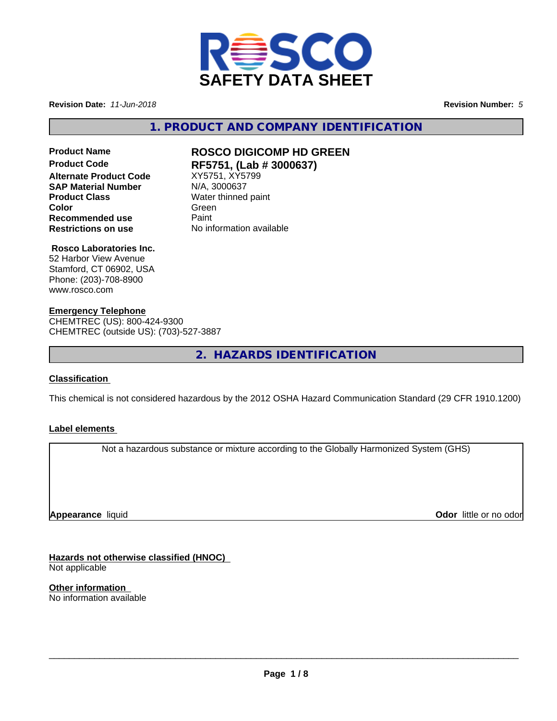

**Revision Date:** *11-Jun-2018* **Revision Number:** *5*

**1. PRODUCT AND COMPANY IDENTIFICATION**

### **Product Code RF5751, (Lab # 3000637) Alternate Product Code** XY5751, XY5751<br>**SAP Material Number** N/A, 3000637 **SAP Material Number Product Class** Water thinned paint **Recommended use** Paint **Restrictions on use** No information available

# **Product Name ROSCO DIGICOMP HD GREEN**

**Color** Green Green Green Green Color

#### **Rosco Laboratories Inc.**

52 Harbor View Avenue Stamford, CT 06902, USA Phone: (203)-708-8900 www.rosco.com

#### **Emergency Telephone**

CHEMTREC (US): 800-424-9300 CHEMTREC (outside US): (703)-527-3887

**2. HAZARDS IDENTIFICATION**

#### **Classification**

This chemical is not considered hazardous by the 2012 OSHA Hazard Communication Standard (29 CFR 1910.1200)

#### **Label elements**

Not a hazardous substance or mixture according to the Globally Harmonized System (GHS)

**Appearance** liquid

**Odor** little or no odor

**Hazards not otherwise classified (HNOC)** Not applicable

**Other information** No information available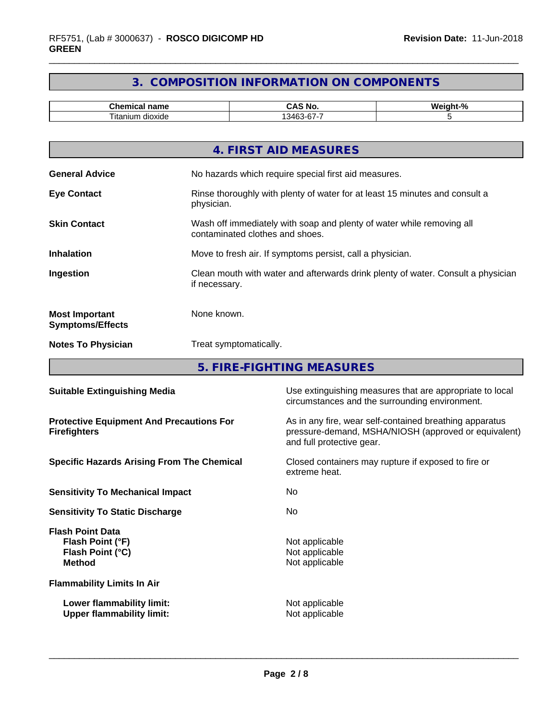### **3. COMPOSITION INFORMATION ON COMPONENTS**

| $-1$<br>$\mathsf{m}$ en<br>name      | <b>NO</b><br>- Л                      | . .<br>$\sqrt{2}$<br>--- |
|--------------------------------------|---------------------------------------|--------------------------|
| --<br>liton<br>um.<br>dioxide<br>пап | $\sim$<br>541<br>. .<br>$\cdots$<br>ີ |                          |

|                                                  | 4. FIRST AID MEASURES                                                                                    |
|--------------------------------------------------|----------------------------------------------------------------------------------------------------------|
| <b>General Advice</b>                            | No hazards which require special first aid measures.                                                     |
| <b>Eye Contact</b>                               | Rinse thoroughly with plenty of water for at least 15 minutes and consult a<br>physician.                |
| <b>Skin Contact</b>                              | Wash off immediately with soap and plenty of water while removing all<br>contaminated clothes and shoes. |
| <b>Inhalation</b>                                | Move to fresh air. If symptoms persist, call a physician.                                                |
| Ingestion                                        | Clean mouth with water and afterwards drink plenty of water. Consult a physician<br>if necessary.        |
| <b>Most Important</b><br><b>Symptoms/Effects</b> | None known.                                                                                              |
| <b>Notes To Physician</b>                        | Treat symptomatically.                                                                                   |
|                                                  |                                                                                                          |

**5. FIRE-FIGHTING MEASURES**

| <b>Suitable Extinguishing Media</b>                                              | Use extinguishing measures that are appropriate to local<br>circumstances and the surrounding environment.                                   |  |  |
|----------------------------------------------------------------------------------|----------------------------------------------------------------------------------------------------------------------------------------------|--|--|
| <b>Protective Equipment And Precautions For</b><br><b>Firefighters</b>           | As in any fire, wear self-contained breathing apparatus<br>pressure-demand, MSHA/NIOSH (approved or equivalent)<br>and full protective gear. |  |  |
| <b>Specific Hazards Arising From The Chemical</b>                                | Closed containers may rupture if exposed to fire or<br>extreme heat.                                                                         |  |  |
| <b>Sensitivity To Mechanical Impact</b>                                          | No.                                                                                                                                          |  |  |
| <b>Sensitivity To Static Discharge</b>                                           | No.                                                                                                                                          |  |  |
| <b>Flash Point Data</b><br>Flash Point (°F)<br>Flash Point (°C)<br><b>Method</b> | Not applicable<br>Not applicable<br>Not applicable                                                                                           |  |  |
| <b>Flammability Limits In Air</b>                                                |                                                                                                                                              |  |  |
| Lower flammability limit:<br><b>Upper flammability limit:</b>                    | Not applicable<br>Not applicable                                                                                                             |  |  |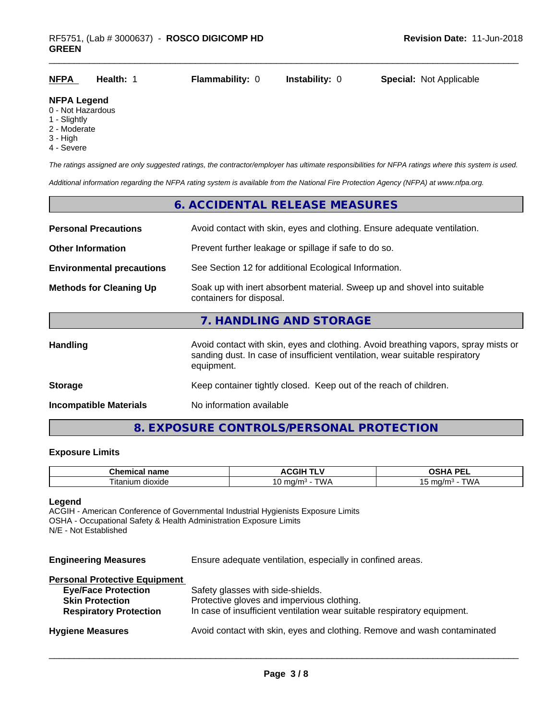|--|

#### **NFPA Legend**

- 0 Not Hazardous
- 1 Slightly
- 2 Moderate
- 3 High
- 4 Severe

*The ratings assigned are only suggested ratings, the contractor/employer has ultimate responsibilities for NFPA ratings where this system is used.*

*Additional information regarding the NFPA rating system is available from the National Fire Protection Agency (NFPA) at www.nfpa.org.*

## **6. ACCIDENTAL RELEASE MEASURES Personal Precautions** Avoid contact with skin, eyes and clothing. Ensure adequate ventilation. **Other Information Prevent further leakage or spillage if safe to do so. Environmental precautions** See Section 12 for additional Ecological Information. **Methods for Cleaning Up** Soak up with inert absorbent material. Sweep up and shovel into suitable containers for disposal. **7. HANDLING AND STORAGE** Handling **Handling** Avoid contact with skin, eyes and clothing. Avoid breathing vapors, spray mists or sanding dust. In case of insufficient ventilation, wear suitable respiratory equipment. **Storage** Keep container tightly closed. Keep out of the reach of children.

**Incompatible Materials** No information available

#### **8. EXPOSURE CONTROLS/PERSONAL PROTECTION**

#### **Exposure Limits**

| $\sim$ $\sim$ $\sim$<br>$ -$<br>۱e<br>пане<br>чиса. | <b>CGIP</b><br>.    | <b>DE</b><br>^<br>--                                          |
|-----------------------------------------------------|---------------------|---------------------------------------------------------------|
| --<br>dioxide<br>. itanium                          | ™∆<br>1/r<br>.<br>ັ | .<br>-. .<br>m <sub>0</sub><br>.<br>17<br>$\mathbf{u}$<br>. . |

#### **Legend**

ACGIH - American Conference of Governmental Industrial Hygienists Exposure Limits OSHA - Occupational Safety & Health Administration Exposure Limits N/E - Not Established

**Engineering Measures** Ensure adequate ventilation, especially in confined areas.

#### **Personal Protective Equipment**

| <b>Eye/Face Protection</b>    | Safety glasses with side-shields.                                        |
|-------------------------------|--------------------------------------------------------------------------|
| <b>Skin Protection</b>        | Protective gloves and impervious clothing.                               |
| <b>Respiratory Protection</b> | In case of insufficient ventilation wear suitable respiratory equipment. |
| <b>Hygiene Measures</b>       | Avoid contact with skin, eyes and clothing. Remove and wash contaminated |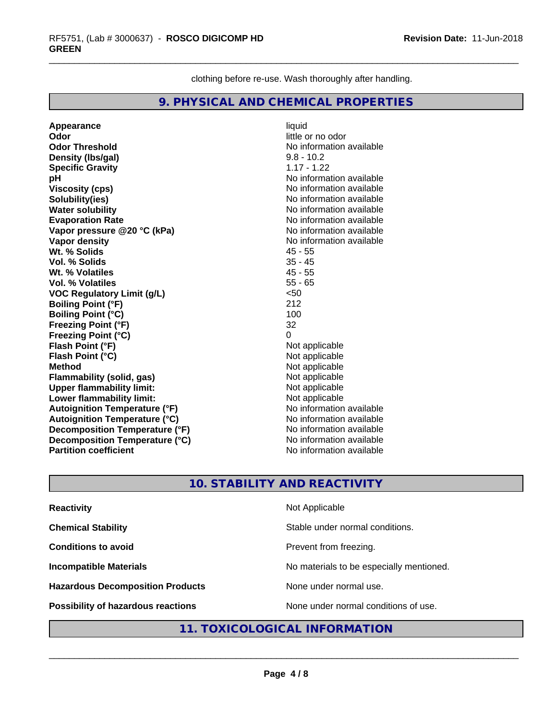clothing before re-use. Wash thoroughly after handling.

#### **9. PHYSICAL AND CHEMICAL PROPERTIES**

**Appearance** liquid **Odor** little or no odor **Odor Threshold** No information available **Density (Ibs/gal)** 9.8 - 10.2<br> **Specific Gravity** 1.17 - 1.22 **Specific Gravity pH** No information available **Viscosity (cps)** No information available **Solubility(ies)**<br> **No** information available<br> **Water solubility**<br> **No** information available **Water solubility**<br> **Evaporation Rate**<br> **Evaporation Rate**<br> **Evaporation Rate Vapor pressure @20 °C (kPa)**<br> **Vapor density**<br> **Vapor density**<br> **Vapor density** Wt. % Solids **Vol. % Solids** 35 - 45 **Wt. % Volatiles** 45 - 55 **Vol. % Volatiles VOC Regulatory Limit (g/L)** <50 **Boiling Point (°F)** 212 **Boiling Point (°C)** 100 **Freezing Point (°F)** 32 **Freezing Point (°C) Flash Point (°F)**<br> **Flash Point (°C)**<br> **Flash Point (°C)**<br> **Point (°C) Flash Point (°C)**<br>Method **Flammability** (solid, gas) **Upper flammability limit:**<br> **Lower flammability limit:** Not applicable Not applicable **Lower flammability limit: Autoignition Temperature (°F)** No information available **Autoignition Temperature (°C)**<br> **Decomposition Temperature (°F)** No information available **Decomposition Temperature (°F) Decomposition Temperature (°C)** No information available<br> **Partition coefficient Partition available Partition coefficient** 

**Evaporation Rate** No information available **No information available**<br>45 - 55 **Not applicable**<br>Not applicable

#### **10. STABILITY AND REACTIVITY**

| <b>Reactivity</b>                       | Not Applicable                           |
|-----------------------------------------|------------------------------------------|
| <b>Chemical Stability</b>               | Stable under normal conditions.          |
| <b>Conditions to avoid</b>              | Prevent from freezing.                   |
| <b>Incompatible Materials</b>           | No materials to be especially mentioned. |
| <b>Hazardous Decomposition Products</b> | None under normal use.                   |
| Possibility of hazardous reactions      | None under normal conditions of use.     |

#### **11. TOXICOLOGICAL INFORMATION**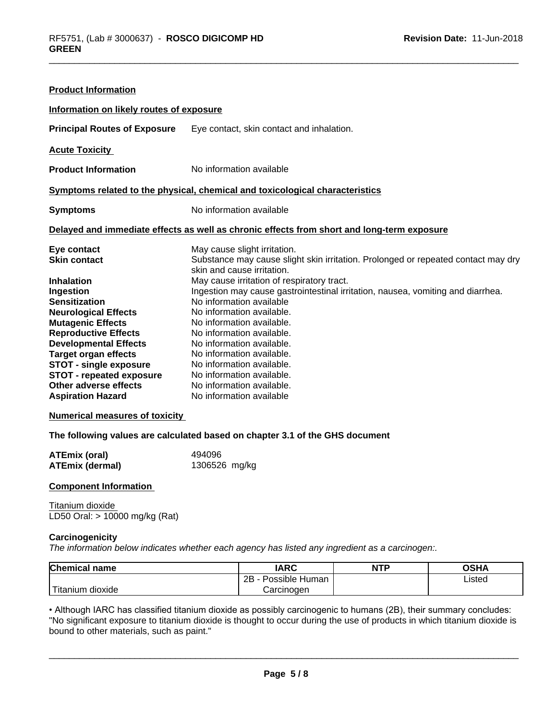| Information on likely routes of exposure<br>Eye contact, skin contact and inhalation.<br>No information available<br>Symptoms related to the physical, chemical and toxicological characteristics<br>No information available<br>Delayed and immediate effects as well as chronic effects from short and long-term exposure<br>May cause slight irritation.<br>Substance may cause slight skin irritation. Prolonged or repeated contact may dry<br>skin and cause irritation.<br>May cause irritation of respiratory tract.<br>Ingestion may cause gastrointestinal irritation, nausea, vomiting and diarrhea.<br>No information available<br>No information available. | <b>Product Information</b>                                                                                                                                                                                                                                                                                                                                              |                           |
|--------------------------------------------------------------------------------------------------------------------------------------------------------------------------------------------------------------------------------------------------------------------------------------------------------------------------------------------------------------------------------------------------------------------------------------------------------------------------------------------------------------------------------------------------------------------------------------------------------------------------------------------------------------------------|-------------------------------------------------------------------------------------------------------------------------------------------------------------------------------------------------------------------------------------------------------------------------------------------------------------------------------------------------------------------------|---------------------------|
|                                                                                                                                                                                                                                                                                                                                                                                                                                                                                                                                                                                                                                                                          |                                                                                                                                                                                                                                                                                                                                                                         |                           |
|                                                                                                                                                                                                                                                                                                                                                                                                                                                                                                                                                                                                                                                                          | <b>Principal Routes of Exposure</b>                                                                                                                                                                                                                                                                                                                                     |                           |
|                                                                                                                                                                                                                                                                                                                                                                                                                                                                                                                                                                                                                                                                          | <b>Acute Toxicity</b>                                                                                                                                                                                                                                                                                                                                                   |                           |
|                                                                                                                                                                                                                                                                                                                                                                                                                                                                                                                                                                                                                                                                          | <b>Product Information</b>                                                                                                                                                                                                                                                                                                                                              |                           |
|                                                                                                                                                                                                                                                                                                                                                                                                                                                                                                                                                                                                                                                                          |                                                                                                                                                                                                                                                                                                                                                                         |                           |
|                                                                                                                                                                                                                                                                                                                                                                                                                                                                                                                                                                                                                                                                          | <b>Symptoms</b>                                                                                                                                                                                                                                                                                                                                                         |                           |
|                                                                                                                                                                                                                                                                                                                                                                                                                                                                                                                                                                                                                                                                          |                                                                                                                                                                                                                                                                                                                                                                         |                           |
| No information available.<br>No information available.<br>No information available.<br>No information available.<br>No information available.<br>No information available.<br>No information available                                                                                                                                                                                                                                                                                                                                                                                                                                                                   | Eye contact<br><b>Skin contact</b><br><b>Inhalation</b><br>Ingestion<br><b>Sensitization</b><br><b>Neurological Effects</b><br><b>Mutagenic Effects</b><br><b>Reproductive Effects</b><br><b>Developmental Effects</b><br><b>Target organ effects</b><br>STOT - single exposure<br><b>STOT - repeated exposure</b><br>Other adverse effects<br><b>Aspiration Hazard</b> | No information available. |

#### **Numerical measures of toxicity**

**The following values are calculated based on chapter 3.1 of the GHS document**

| <b>ATEmix (oral)</b>   | 494096        |
|------------------------|---------------|
| <b>ATEmix (dermal)</b> | 1306526 mg/kg |

#### **Component Information**

Titanium dioxide LD50 Oral: > 10000 mg/kg (Rat)

#### **Carcinogenicity**

*The information below indicateswhether each agency has listed any ingredient as a carcinogen:.*

| <b>Chemical</b><br>name | <b>IARC</b>               | <b>NTP</b> | ∩≈⊔∧<br>JJ⊓⊬ |
|-------------------------|---------------------------|------------|--------------|
|                         | 2B<br>· Human<br>Possible |            | Listed<br>.  |
| n dioxide<br>l itanıum  | Carcinoɑen                |            |              |

• Although IARC has classified titanium dioxide as possibly carcinogenic to humans (2B), their summary concludes:<br>"No significant exposure to titanium dioxide is thought to occur during the use of products in which titaniu "No significant exposure to titanium dioxide is thought to occur during the use of products in which titanium dioxide is bound to other materials, such as paint."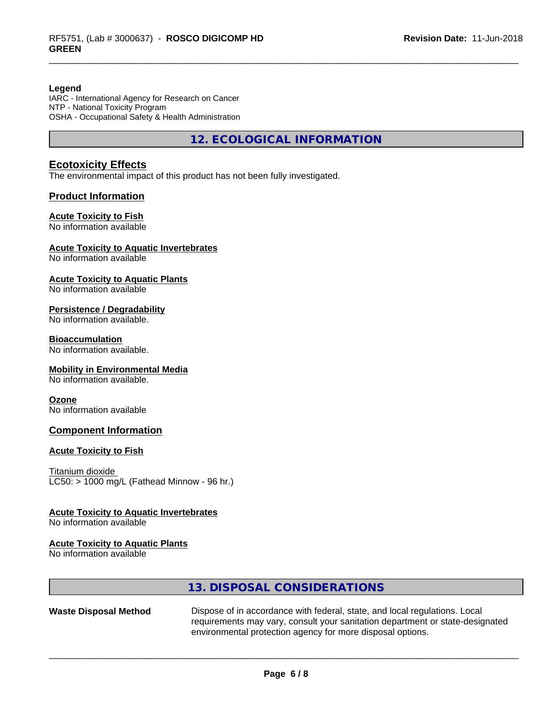#### **Legend**

IARC - International Agency for Research on Cancer NTP - National Toxicity Program OSHA - Occupational Safety & Health Administration

**12. ECOLOGICAL INFORMATION**

#### **Ecotoxicity Effects**

The environmental impact of this product has not been fully investigated.

#### **Product Information**

#### **Acute Toxicity to Fish**

No information available

#### **Acute Toxicity to Aquatic Invertebrates**

No information available

#### **Acute Toxicity to Aquatic Plants**

No information available

#### **Persistence / Degradability**

No information available.

#### **Bioaccumulation**

No information available.

#### **Mobility in Environmental Media**

No information available.

#### **Ozone**

No information available

#### **Component Information**

#### **Acute Toxicity to Fish**

Titanium dioxide  $LC50:$  > 1000 mg/L (Fathead Minnow - 96 hr.)

#### **Acute Toxicity to Aquatic Invertebrates**

No information available

#### **Acute Toxicity to Aquatic Plants**

No information available

#### **13. DISPOSAL CONSIDERATIONS**

Waste Disposal Method Dispose of in accordance with federal, state, and local regulations. Local requirements may vary, consult your sanitation department or state-designated environmental protection agency for more disposal options.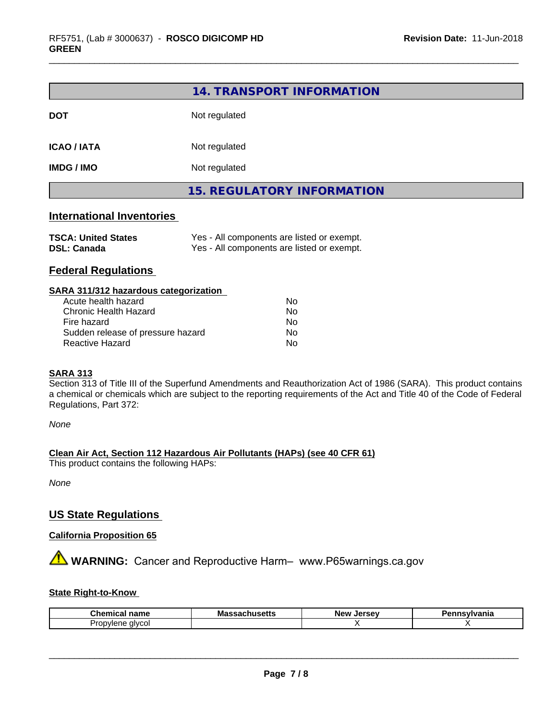|                                  | 14. TRANSPORT INFORMATION         |  |
|----------------------------------|-----------------------------------|--|
| <b>DOT</b>                       | Not regulated                     |  |
| <b>ICAO/IATA</b>                 | Not regulated                     |  |
| <b>IMDG / IMO</b>                | Not regulated                     |  |
|                                  | <b>15. REGULATORY INFORMATION</b> |  |
| <b>International Inventories</b> |                                   |  |

| <b>TSCA: United States</b> | Yes - All components are listed or exempt. |
|----------------------------|--------------------------------------------|
| <b>DSL: Canada</b>         | Yes - All components are listed or exempt. |

#### **Federal Regulations**

| SARA 311/312 hazardous categorization |    |  |
|---------------------------------------|----|--|
| Acute health hazard                   | Nο |  |
| Chronic Health Hazard                 | Nο |  |
| Fire hazard                           | No |  |
| Sudden release of pressure hazard     | No |  |
| Reactive Hazard                       | No |  |

#### **SARA 313**

Section 313 of Title III of the Superfund Amendments and Reauthorization Act of 1986 (SARA). This product contains a chemical or chemicals which are subject to the reporting requirements of the Act and Title 40 of the Code of Federal Regulations, Part 372:

*None*

**Clean Air Act,Section 112 Hazardous Air Pollutants (HAPs) (see 40 CFR 61)**

This product contains the following HAPs:

*None*

#### **US State Regulations**

#### **California Proposition 65**

**AVIMARNING:** Cancer and Reproductive Harm– www.P65warnings.ca.gov

#### **State Right-to-Know**

| Chemical                               | не            | Jersev | ınsvlvania |
|----------------------------------------|---------------|--------|------------|
| ∵name                                  | massachusetts | New    |            |
| Jm.<br>alvcol<br>n<br>۱ı<br>ם וכ<br>wu |               |        |            |